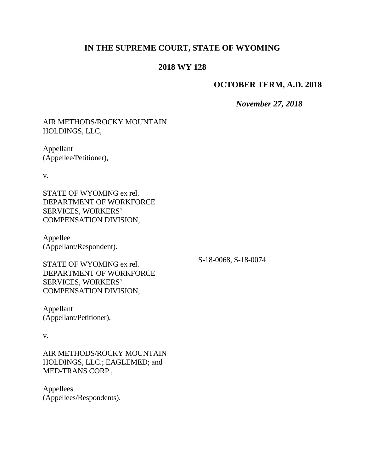# **IN THE SUPREME COURT, STATE OF WYOMING**

# **2018 WY 128**

# **OCTOBER TERM, A.D. 2018**

*November 27, 2018*

| AIR METHODS/ROCKY MOUNTAIN<br>HOLDINGS, LLC,                                                        |                      |
|-----------------------------------------------------------------------------------------------------|----------------------|
| Appellant<br>(Appellee/Petitioner),                                                                 |                      |
| V.                                                                                                  |                      |
| STATE OF WYOMING ex rel.<br>DEPARTMENT OF WORKFORCE<br>SERVICES, WORKERS'<br>COMPENSATION DIVISION, |                      |
| Appellee<br>(Appellant/Respondent).                                                                 |                      |
| STATE OF WYOMING ex rel.<br>DEPARTMENT OF WORKFORCE<br>SERVICES, WORKERS'<br>COMPENSATION DIVISION, | S-18-0068, S-18-0074 |
| Appellant<br>(Appellant/Petitioner),                                                                |                      |
| V.                                                                                                  |                      |
| AIR METHODS/ROCKY MOUNTAIN<br>HOLDINGS, LLC.; EAGLEMED; and<br>MED-TRANS CORP.,                     |                      |
| Appellees<br>(Appellees/Respondents).                                                               |                      |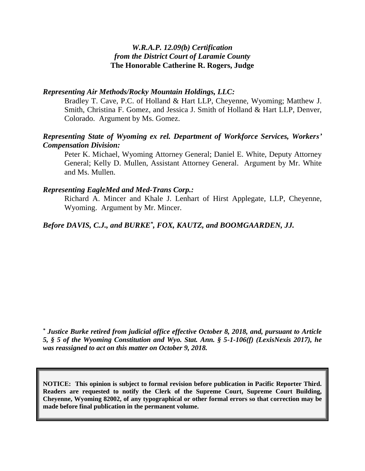#### *W.R.A.P. 12.09(b) Certification from the District Court of Laramie County* **The Honorable Catherine R. Rogers, Judge**

#### *Representing Air Methods/Rocky Mountain Holdings, LLC:*

Bradley T. Cave, P.C. of Holland & Hart LLP, Cheyenne, Wyoming; Matthew J. Smith, Christina F. Gomez, and Jessica J. Smith of Holland & Hart LLP, Denver, Colorado. Argument by Ms. Gomez.

#### *Representing State of Wyoming ex rel. Department of Workforce Services, Workers' Compensation Division:*

Peter K. Michael, Wyoming Attorney General; Daniel E. White, Deputy Attorney General; Kelly D. Mullen, Assistant Attorney General. Argument by Mr. White and Ms. Mullen.

#### *Representing EagleMed and Med-Trans Corp.:*

Richard A. Mincer and Khale J. Lenhart of Hirst Applegate, LLP, Cheyenne, Wyoming. Argument by Mr. Mincer.

#### *Before DAVIS, C.J., and BURKE\* , FOX, KAUTZ, and BOOMGAARDEN, JJ.*

*\* Justice Burke retired from judicial office effective October 8, 2018, and, pursuant to Article 5, § 5 of the Wyoming Constitution and Wyo. Stat. Ann. § 5-1-106(f) (LexisNexis 2017), he was reassigned to act on this matter on October 9, 2018.*

**NOTICE: This opinion is subject to formal revision before publication in Pacific Reporter Third. Readers are requested to notify the Clerk of the Supreme Court, Supreme Court Building, Cheyenne, Wyoming 82002, of any typographical or other formal errors so that correction may be made before final publication in the permanent volume.**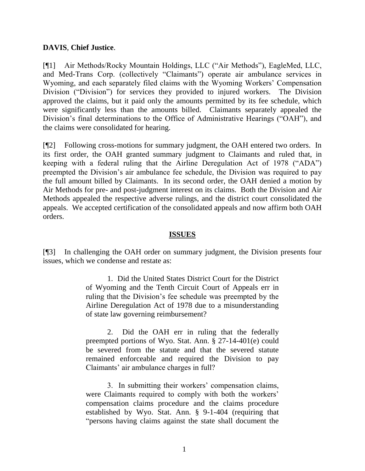#### **DAVIS**, **Chief Justice**.

[¶1] Air Methods/Rocky Mountain Holdings, LLC ("Air Methods"), EagleMed, LLC, and Med-Trans Corp. (collectively "Claimants") operate air ambulance services in Wyoming, and each separately filed claims with the Wyoming Workers' Compensation Division ("Division") for services they provided to injured workers. The Division approved the claims, but it paid only the amounts permitted by its fee schedule, which were significantly less than the amounts billed. Claimants separately appealed the Division's final determinations to the Office of Administrative Hearings ("OAH"), and the claims were consolidated for hearing.

[¶2] Following cross-motions for summary judgment, the OAH entered two orders. In its first order, the OAH granted summary judgment to Claimants and ruled that, in keeping with a federal ruling that the Airline Deregulation Act of 1978 ("ADA") preempted the Division's air ambulance fee schedule, the Division was required to pay the full amount billed by Claimants. In its second order, the OAH denied a motion by Air Methods for pre- and post-judgment interest on its claims. Both the Division and Air Methods appealed the respective adverse rulings, and the district court consolidated the appeals. We accepted certification of the consolidated appeals and now affirm both OAH orders.

#### **ISSUES**

[¶3] In challenging the OAH order on summary judgment, the Division presents four issues, which we condense and restate as:

> 1. Did the United States District Court for the District of Wyoming and the Tenth Circuit Court of Appeals err in ruling that the Division's fee schedule was preempted by the Airline Deregulation Act of 1978 due to a misunderstanding of state law governing reimbursement?

> 2. Did the OAH err in ruling that the federally preempted portions of Wyo. Stat. Ann. § 27-14-401(e) could be severed from the statute and that the severed statute remained enforceable and required the Division to pay Claimants' air ambulance charges in full?

> 3. In submitting their workers' compensation claims, were Claimants required to comply with both the workers' compensation claims procedure and the claims procedure established by Wyo. Stat. Ann. § 9-1-404 (requiring that "persons having claims against the state shall document the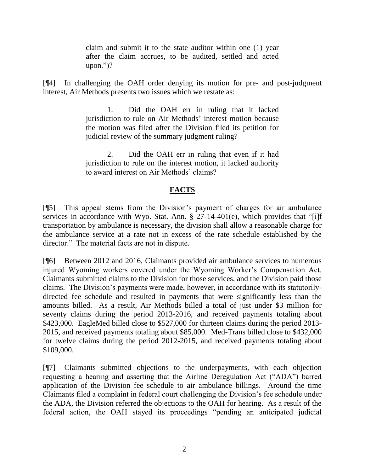claim and submit it to the state auditor within one (1) year after the claim accrues, to be audited, settled and acted upon.")?

[¶4] In challenging the OAH order denying its motion for pre- and post-judgment interest, Air Methods presents two issues which we restate as:

> 1. Did the OAH err in ruling that it lacked jurisdiction to rule on Air Methods' interest motion because the motion was filed after the Division filed its petition for judicial review of the summary judgment ruling?

> 2. Did the OAH err in ruling that even if it had jurisdiction to rule on the interest motion, it lacked authority to award interest on Air Methods' claims?

## **FACTS**

[¶5] This appeal stems from the Division's payment of charges for air ambulance services in accordance with Wyo. Stat. Ann. § 27-14-401(e), which provides that "[i]f transportation by ambulance is necessary, the division shall allow a reasonable charge for the ambulance service at a rate not in excess of the rate schedule established by the director." The material facts are not in dispute.

[¶6] Between 2012 and 2016, Claimants provided air ambulance services to numerous injured Wyoming workers covered under the Wyoming Worker's Compensation Act. Claimants submitted claims to the Division for those services, and the Division paid those claims. The Division's payments were made, however, in accordance with its statutorilydirected fee schedule and resulted in payments that were significantly less than the amounts billed. As a result, Air Methods billed a total of just under \$3 million for seventy claims during the period 2013-2016, and received payments totaling about \$423,000. EagleMed billed close to \$527,000 for thirteen claims during the period 2013- 2015, and received payments totaling about \$85,000. Med-Trans billed close to \$432,000 for twelve claims during the period 2012-2015, and received payments totaling about \$109,000.

[¶7] Claimants submitted objections to the underpayments, with each objection requesting a hearing and asserting that the Airline Deregulation Act ("ADA") barred application of the Division fee schedule to air ambulance billings. Around the time Claimants filed a complaint in federal court challenging the Division's fee schedule under the ADA, the Division referred the objections to the OAH for hearing. As a result of the federal action, the OAH stayed its proceedings "pending an anticipated judicial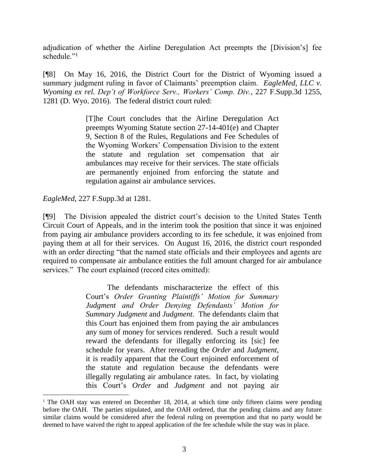adjudication of whether the Airline Deregulation Act preempts the [Division's] fee schedule."<sup>1</sup>

[¶8] On May 16, 2016, the District Court for the District of Wyoming issued a summary judgment ruling in favor of Claimants' preemption claim. *EagleMed, LLC v. Wyoming ex rel. Dep't of Workforce Serv., Workers' Comp. Div.*, 227 F.Supp.3d 1255, 1281 (D. Wyo. 2016). The federal district court ruled:

> [T]he Court concludes that the Airline Deregulation Act preempts [Wyoming Statute section 27-14-401\(e\)](http://www.westlaw.com/Link/Document/FullText?findType=L&pubNum=1000377&cite=WYSTS27-14-401&originatingDoc=Iae4687503bfa11e79253a50aa7145720&refType=SP&originationContext=document&vr=3.0&rs=cblt1.0&transitionType=DocumentItem&contextData=(sc.UserEnteredCitation)#co_pp_7fdd00001ca15) and Chapter 9, Section 8 of the Rules, Regulations and Fee Schedules of the Wyoming Workers' Compensation Division to the extent the statute and regulation set compensation that air ambulances may receive for their services. The state officials are permanently enjoined from enforcing the statute and regulation against air ambulance services.

*EagleMed*, 227 F.Supp.3d at 1281.

[¶9] The Division appealed the district court's decision to the United States Tenth Circuit Court of Appeals, and in the interim took the position that since it was enjoined from paying air ambulance providers according to its fee schedule, it was enjoined from paying them at all for their services. On August 16, 2016, the district court responded with an order directing "that the named state officials and their employees and agents are required to compensate air ambulance entities the full amount charged for air ambulance services." The court explained (record cites omitted):

> The defendants mischaracterize the effect of this Court's *Order Granting Plaintiffs' Motion for Summary Judgment and Order Denying Defendants' Motion for Summary Judgment* and *Judgment*. The defendants claim that this Court has enjoined them from paying the air ambulances any sum of money for services rendered. Such a result would reward the defendants for illegally enforcing its [sic] fee schedule for years. After rereading the *Order* and *Judgment*, it is readily apparent that the Court enjoined enforcement of the statute and regulation because the defendants were illegally regulating air ambulance rates. In fact, by violating this Court's *Order* and *Judgment* and not paying air

<sup>&</sup>lt;sup>1</sup> The OAH stay was entered on December 18, 2014, at which time only fifteen claims were pending before the OAH. The parties stipulated, and the OAH ordered, that the pending claims and any future similar claims would be considered after the federal ruling on preemption and that no party would be deemed to have waived the right to appeal application of the fee schedule while the stay was in place.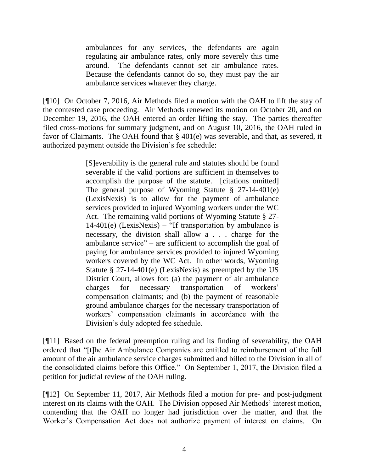ambulances for any services, the defendants are again regulating air ambulance rates, only more severely this time around. The defendants cannot set air ambulance rates. Because the defendants cannot do so, they must pay the air ambulance services whatever they charge.

[¶10] On October 7, 2016, Air Methods filed a motion with the OAH to lift the stay of the contested case proceeding. Air Methods renewed its motion on October 20, and on December 19, 2016, the OAH entered an order lifting the stay. The parties thereafter filed cross-motions for summary judgment, and on August 10, 2016, the OAH ruled in favor of Claimants. The OAH found that § 401(e) was severable, and that, as severed, it authorized payment outside the Division's fee schedule:

> [S]everability is the general rule and statutes should be found severable if the valid portions are sufficient in themselves to accomplish the purpose of the statute. [citations omitted] The general purpose of Wyoming Statute § 27-14-401(e) (LexisNexis) is to allow for the payment of ambulance services provided to injured Wyoming workers under the WC Act. The remaining valid portions of Wyoming Statute § 27-  $14-401(e)$  (LexisNexis) – "If transportation by ambulance is necessary, the division shall allow a . . . charge for the ambulance service" – are sufficient to accomplish the goal of paying for ambulance services provided to injured Wyoming workers covered by the WC Act. In other words, Wyoming Statute § 27-14-401(e) (LexisNexis) as preempted by the US District Court, allows for: (a) the payment of air ambulance charges for necessary transportation of workers' compensation claimants; and (b) the payment of reasonable ground ambulance charges for the necessary transportation of workers' compensation claimants in accordance with the Division's duly adopted fee schedule.

[¶11] Based on the federal preemption ruling and its finding of severability, the OAH ordered that "[t]he Air Ambulance Companies are entitled to reimbursement of the full amount of the air ambulance service charges submitted and billed to the Division in all of the consolidated claims before this Office." On September 1, 2017, the Division filed a petition for judicial review of the OAH ruling.

[¶12] On September 11, 2017, Air Methods filed a motion for pre- and post-judgment interest on its claims with the OAH. The Division opposed Air Methods' interest motion, contending that the OAH no longer had jurisdiction over the matter, and that the Worker's Compensation Act does not authorize payment of interest on claims. On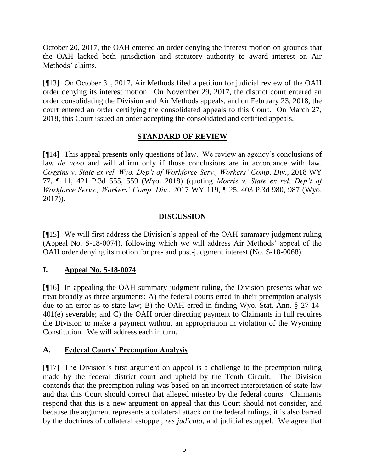October 20, 2017, the OAH entered an order denying the interest motion on grounds that the OAH lacked both jurisdiction and statutory authority to award interest on Air Methods' claims.

[¶13] On October 31, 2017, Air Methods filed a petition for judicial review of the OAH order denying its interest motion. On November 29, 2017, the district court entered an order consolidating the Division and Air Methods appeals, and on February 23, 2018, the court entered an order certifying the consolidated appeals to this Court. On March 27, 2018, this Court issued an order accepting the consolidated and certified appeals.

### **STANDARD OF REVIEW**

[¶14] This appeal presents only questions of law. We review an agency's conclusions of law *de novo* and will affirm only if those conclusions are in accordance with law. *Coggins v. State ex rel. Wyo. Dep't of Workforce Serv., Workers' Comp. Div.*, 2018 WY 77, ¶ 11, 421 P.3d 555, 559 (Wyo. 2018) (quoting *[Morris v. State ex rel. Dep't of](http://www.westlaw.com/Link/Document/FullText?findType=Y&serNum=2042803864&pubNum=0004645&originatingDoc=I7aa6ec70849a11e88d669565240b92b2&refType=RP&fi=co_pp_sp_4645_983&originationContext=document&vr=3.0&rs=cblt1.0&transitionType=DocumentItem&contextData=(sc.Search)#co_pp_sp_4645_983)  Workforce Servs., Workers' Comp. Div.*[, 2017 WY 119, ¶ 25, 403 P.3d 980, 987](http://www.westlaw.com/Link/Document/FullText?findType=Y&serNum=2042803864&pubNum=0004645&originatingDoc=I7aa6ec70849a11e88d669565240b92b2&refType=RP&fi=co_pp_sp_4645_983&originationContext=document&vr=3.0&rs=cblt1.0&transitionType=DocumentItem&contextData=(sc.Search)#co_pp_sp_4645_983) (Wyo. [2017\)\)](http://www.westlaw.com/Link/Document/FullText?findType=Y&serNum=2042803864&pubNum=0004645&originatingDoc=I7aa6ec70849a11e88d669565240b92b2&refType=RP&fi=co_pp_sp_4645_983&originationContext=document&vr=3.0&rs=cblt1.0&transitionType=DocumentItem&contextData=(sc.Search)#co_pp_sp_4645_983).

#### **DISCUSSION**

[¶15] We will first address the Division's appeal of the OAH summary judgment ruling (Appeal No. S-18-0074), following which we will address Air Methods' appeal of the OAH order denying its motion for pre- and post-judgment interest (No. S-18-0068).

### **I. Appeal No. S-18-0074**

[¶16] In appealing the OAH summary judgment ruling, the Division presents what we treat broadly as three arguments: A) the federal courts erred in their preemption analysis due to an error as to state law; B) the OAH erred in finding Wyo. Stat. Ann. § 27-14- 401(e) severable; and C) the OAH order directing payment to Claimants in full requires the Division to make a payment without an appropriation in violation of the Wyoming Constitution. We will address each in turn.

### **A. Federal Courts' Preemption Analysis**

[¶17] The Division's first argument on appeal is a challenge to the preemption ruling made by the federal district court and upheld by the Tenth Circuit. The Division contends that the preemption ruling was based on an incorrect interpretation of state law and that this Court should correct that alleged misstep by the federal courts. Claimants respond that this is a new argument on appeal that this Court should not consider, and because the argument represents a collateral attack on the federal rulings, it is also barred by the doctrines of collateral estoppel, *res judicata*, and judicial estoppel. We agree that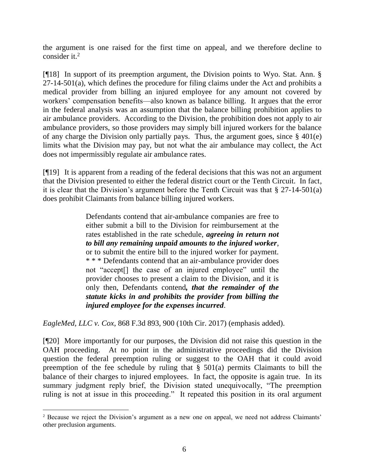the argument is one raised for the first time on appeal, and we therefore decline to consider it.<sup>2</sup>

[¶18] In support of its preemption argument, the Division points to Wyo. Stat. Ann. §  $27-14-501(a)$ , which defines the procedure for filing claims under the Act and prohibits a medical provider from billing an injured employee for any amount not covered by workers' compensation benefits—also known as balance billing. It argues that the error in the federal analysis was an assumption that the balance billing prohibition applies to air ambulance providers. According to the Division, the prohibition does not apply to air ambulance providers, so those providers may simply bill injured workers for the balance of any charge the Division only partially pays. Thus, the argument goes, since § 401(e) limits what the Division may pay, but not what the air ambulance may collect, the Act does not impermissibly regulate air ambulance rates.

[¶19] It is apparent from a reading of the federal decisions that this was not an argument that the Division presented to either the federal district court or the Tenth Circuit. In fact, it is clear that the Division's argument before the Tenth Circuit was that § 27-14-501(a) does prohibit Claimants from balance billing injured workers.

> Defendants contend that air-ambulance companies are free to either submit a bill to the Division for reimbursement at the rates established in the rate schedule, *agreeing in return not to bill any remaining unpaid amounts to the injured worker*, or to submit the entire bill to the injured worker for payment. \* \* \* Defendants contend that an air-ambulance provider does not "accept[] the case of an injured employee" until the provider chooses to present a claim to the Division, and it is only then, Defendants contend*, that the remainder of the statute kicks in and prohibits the provider from billing the injured employee for the expenses incurred*.

*EagleMed, LLC v. Cox*, 868 F.3d 893, 900 (10th Cir. 2017) (emphasis added).

l

[¶20] More importantly for our purposes, the Division did not raise this question in the OAH proceeding. At no point in the administrative proceedings did the Division question the federal preemption ruling or suggest to the OAH that it could avoid preemption of the fee schedule by ruling that § 501(a) permits Claimants to bill the balance of their charges to injured employees. In fact, the opposite is again true. In its summary judgment reply brief, the Division stated unequivocally, "The preemption ruling is not at issue in this proceeding." It repeated this position in its oral argument

<sup>2</sup> Because we reject the Division's argument as a new one on appeal, we need not address Claimants' other preclusion arguments.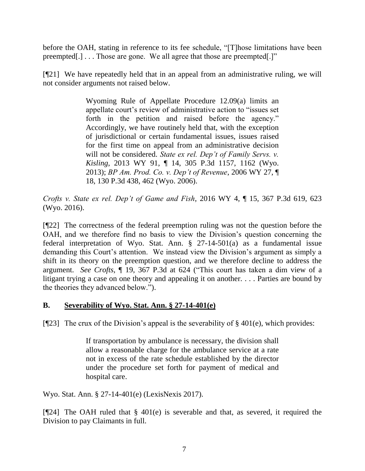before the OAH, stating in reference to its fee schedule, "[T]hose limitations have been preempted[.] . . . Those are gone. We all agree that those are preempted[.]"

[¶21] We have repeatedly held that in an appeal from an administrative ruling, we will not consider arguments not raised below.

> [Wyoming Rule of Appellate Procedure 12.09\(a\)](http://www.westlaw.com/Link/Document/FullText?findType=L&pubNum=1008793&cite=WYRRAPR12.09&originatingDoc=I485baa46b69f11e590d4edf60ce7d742&refType=LQ&originationContext=document&vr=3.0&rs=cblt1.0&transitionType=DocumentItem&contextData=(sc.Search)) limits an appellate court's review of administrative action to "issues set forth in the petition and raised before the agency." Accordingly, we have routinely held that, with the exception of jurisdictional or certain fundamental issues, issues raised for the first time on appeal from an administrative decision will not be considered. *[State ex rel. Dep't of Family Servs. v.](http://www.westlaw.com/Link/Document/FullText?findType=Y&serNum=2031152662&pubNum=0004645&originatingDoc=I485baa46b69f11e590d4edf60ce7d742&refType=RP&fi=co_pp_sp_4645_1162&originationContext=document&vr=3.0&rs=cblt1.0&transitionType=DocumentItem&contextData=(sc.Search)#co_pp_sp_4645_1162)  Kisling*[, 2013 WY 91, ¶ 14, 305](http://www.westlaw.com/Link/Document/FullText?findType=Y&serNum=2031152662&pubNum=0004645&originatingDoc=I485baa46b69f11e590d4edf60ce7d742&refType=RP&fi=co_pp_sp_4645_1162&originationContext=document&vr=3.0&rs=cblt1.0&transitionType=DocumentItem&contextData=(sc.Search)#co_pp_sp_4645_1162) P.3d 1157, 1162 (Wyo. [2013\);](http://www.westlaw.com/Link/Document/FullText?findType=Y&serNum=2031152662&pubNum=0004645&originatingDoc=I485baa46b69f11e590d4edf60ce7d742&refType=RP&fi=co_pp_sp_4645_1162&originationContext=document&vr=3.0&rs=cblt1.0&transitionType=DocumentItem&contextData=(sc.Search)#co_pp_sp_4645_1162) *[BP Am. Prod. Co. v. Dep't of Revenue](http://www.westlaw.com/Link/Document/FullText?findType=Y&serNum=2008680455&pubNum=0004645&originatingDoc=I485baa46b69f11e590d4edf60ce7d742&refType=RP&fi=co_pp_sp_4645_462&originationContext=document&vr=3.0&rs=cblt1.0&transitionType=DocumentItem&contextData=(sc.Search)#co_pp_sp_4645_462)*, 2006 WY 27, ¶ [18, 130 P.3d 438, 462 \(Wyo.](http://www.westlaw.com/Link/Document/FullText?findType=Y&serNum=2008680455&pubNum=0004645&originatingDoc=I485baa46b69f11e590d4edf60ce7d742&refType=RP&fi=co_pp_sp_4645_462&originationContext=document&vr=3.0&rs=cblt1.0&transitionType=DocumentItem&contextData=(sc.Search)#co_pp_sp_4645_462) 2006).

*Crofts v. State ex rel. Dep't of Game and Fish*, 2016 WY 4, ¶ 15, 367 P.3d 619, 623 (Wyo. 2016).

[¶22] The correctness of the federal preemption ruling was not the question before the OAH, and we therefore find no basis to view the Division's question concerning the federal interpretation of Wyo. Stat. Ann. § 27-14-501(a) as a fundamental issue demanding this Court's attention. We instead view the Division's argument as simply a shift in its theory on the preemption question, and we therefore decline to address the argument. *See Crofts*, ¶ 19, 367 P.3d at 624 ("This court has taken a dim view of a litigant trying a case on one theory and appealing it on another. . . . Parties are bound by the theories they advanced below.").

## **B. Severability of Wyo. Stat. Ann. § 27-14-401(e)**

[ $[$ [23] The crux of the Division's appeal is the severability of § 401(e), which provides:

If transportation by ambulance is necessary, the division shall allow a reasonable charge for the ambulance service at a rate not in excess of the rate schedule established by the director under the procedure set forth for payment of medical and hospital care.

Wyo. Stat. Ann. § 27-14-401(e) (LexisNexis 2017).

[¶24] The OAH ruled that § 401(e) is severable and that, as severed, it required the Division to pay Claimants in full.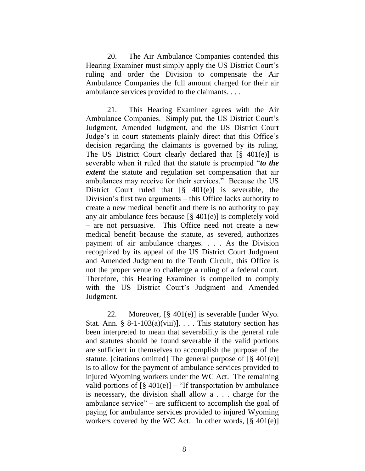20. The Air Ambulance Companies contended this Hearing Examiner must simply apply the US District Court's ruling and order the Division to compensate the Air Ambulance Companies the full amount charged for their air ambulance services provided to the claimants. . . .

21. This Hearing Examiner agrees with the Air Ambulance Companies. Simply put, the US District Court's Judgment, Amended Judgment, and the US District Court Judge's in court statements plainly direct that this Office's decision regarding the claimants is governed by its ruling. The US District Court clearly declared that  $\lceil \frac{8}{9} \cdot 401(e) \rceil$  is severable when it ruled that the statute is preempted "*to the extent* the statute and regulation set compensation that air ambulances may receive for their services." Because the US District Court ruled that  $\lceil \S \rceil$  401(e)] is severable, the Division's first two arguments – this Office lacks authority to create a new medical benefit and there is no authority to pay any air ambulance fees because [§ 401(e)] is completely void – are not persuasive. This Office need not create a new medical benefit because the statute, as severed, authorizes payment of air ambulance charges. . . . As the Division recognized by its appeal of the US District Court Judgment and Amended Judgment to the Tenth Circuit, this Office is not the proper venue to challenge a ruling of a federal court. Therefore, this Hearing Examiner is compelled to comply with the US District Court's Judgment and Amended Judgment.

22. Moreover, [§ 401(e)] is severable [under Wyo. Stat. Ann. § 8-1-103(a)(viii)]. . . . This statutory section has been interpreted to mean that severability is the general rule and statutes should be found severable if the valid portions are sufficient in themselves to accomplish the purpose of the statute. [citations omitted] The general purpose of  $\lbrack \S 401(e) \rbrack$ is to allow for the payment of ambulance services provided to injured Wyoming workers under the WC Act. The remaining valid portions of  $\lbrack \S 401(e) \rbrack$  – "If transportation by ambulance is necessary, the division shall allow a . . . charge for the ambulance service" – are sufficient to accomplish the goal of paying for ambulance services provided to injured Wyoming workers covered by the WC Act. In other words,  $[\S 401(e)]$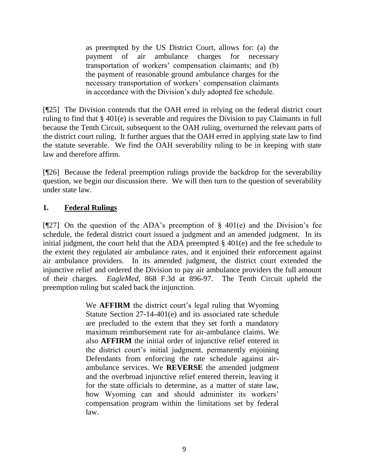as preempted by the US District Court, allows for: (a) the payment of air ambulance charges for necessary transportation of workers' compensation claimants; and (b) the payment of reasonable ground ambulance charges for the necessary transportation of workers' compensation claimants in accordance with the Division's duly adopted fee schedule.

[¶25] The Division contends that the OAH erred in relying on the federal district court ruling to find that § 401(e) is severable and requires the Division to pay Claimants in full because the Tenth Circuit, subsequent to the OAH ruling, overturned the relevant parts of the district court ruling. It further argues that the OAH erred in applying state law to find the statute severable. We find the OAH severability ruling to be in keeping with state law and therefore affirm.

[¶26] Because the federal preemption rulings provide the backdrop for the severability question, we begin our discussion there. We will then turn to the question of severability under state law.

## **1. Federal Rulings**

[ $[$ 27] On the question of the ADA's preemption of § 401(e) and the Division's fee schedule, the federal district court issued a judgment and an amended judgment. In its initial judgment, the court held that the ADA preempted § 401(e) and the fee schedule to the extent they regulated air ambulance rates, and it enjoined their enforcement against air ambulance providers. In its amended judgment, the district court extended the injunctive relief and ordered the Division to pay air ambulance providers the full amount of their charges. *EagleMed*, 868 F.3d at 896-97. The Tenth Circuit upheld the preemption ruling but scaled back the injunction.

> We **AFFIRM** the district court's legal ruling that [Wyoming](http://www.westlaw.com/Link/Document/FullText?findType=L&pubNum=1000377&cite=WYSTS27-14-401&originatingDoc=I671afc20877311e79657885de1b1150a&refType=SP&originationContext=document&vr=3.0&rs=cblt1.0&transitionType=DocumentItem&contextData=(sc.UserEnteredCitation)#co_pp_7fdd00001ca15)  [Statute Section 27-14-401\(e\)](http://www.westlaw.com/Link/Document/FullText?findType=L&pubNum=1000377&cite=WYSTS27-14-401&originatingDoc=I671afc20877311e79657885de1b1150a&refType=SP&originationContext=document&vr=3.0&rs=cblt1.0&transitionType=DocumentItem&contextData=(sc.UserEnteredCitation)#co_pp_7fdd00001ca15) and its associated rate schedule are precluded to the extent that they set forth a mandatory maximum reimbursement rate for air-ambulance claims. We also **AFFIRM** the initial order of injunctive relief entered in the district court's initial judgment, permanently enjoining Defendants from enforcing the rate schedule against airambulance services. We **REVERSE** the amended judgment and the overbroad injunctive relief entered therein, leaving it for the state officials to determine, as a matter of state law, how Wyoming can and should administer its workers' compensation program within the limitations set by federal law.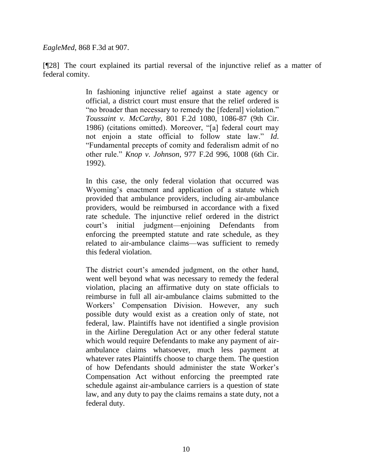*EagleMed*, 868 F.3d at 907.

[¶28] The court explained its partial reversal of the injunctive relief as a matter of federal comity.

> In fashioning injunctive relief against a state agency or official, a district court must ensure that the relief ordered is "no broader than necessary to remedy the [federal] violation." *Toussaint v. McCarthy*[, 801 F.2d 1080, 1086-87 \(9th Cir.](http://www.westlaw.com/Link/Document/FullText?findType=Y&serNum=1986148615&pubNum=0000350&originatingDoc=I671afc20877311e79657885de1b1150a&refType=RP&fi=co_pp_sp_350_1086&originationContext=document&vr=3.0&rs=cblt1.0&transitionType=DocumentItem&contextData=(sc.UserEnteredCitation)#co_pp_sp_350_1086)  [1986\)](http://www.westlaw.com/Link/Document/FullText?findType=Y&serNum=1986148615&pubNum=0000350&originatingDoc=I671afc20877311e79657885de1b1150a&refType=RP&fi=co_pp_sp_350_1086&originationContext=document&vr=3.0&rs=cblt1.0&transitionType=DocumentItem&contextData=(sc.UserEnteredCitation)#co_pp_sp_350_1086) (citations omitted). Moreover, "[a] federal court may not enjoin a state official to follow state law." *[Id](http://www.westlaw.com/Link/Document/FullText?findType=Y&serNum=1986148615&pubNum=0000350&originatingDoc=I671afc20877311e79657885de1b1150a&refType=RP&originationContext=document&vr=3.0&rs=cblt1.0&transitionType=DocumentItem&contextData=(sc.UserEnteredCitation))*. "Fundamental precepts of comity and federalism admit of no other rule." *Knop v. Johnson*[, 977 F.2d 996, 1008 \(6th Cir.](http://www.westlaw.com/Link/Document/FullText?findType=Y&serNum=1992178777&pubNum=0000350&originatingDoc=I671afc20877311e79657885de1b1150a&refType=RP&fi=co_pp_sp_350_1008&originationContext=document&vr=3.0&rs=cblt1.0&transitionType=DocumentItem&contextData=(sc.UserEnteredCitation)#co_pp_sp_350_1008)  [1992\).](http://www.westlaw.com/Link/Document/FullText?findType=Y&serNum=1992178777&pubNum=0000350&originatingDoc=I671afc20877311e79657885de1b1150a&refType=RP&fi=co_pp_sp_350_1008&originationContext=document&vr=3.0&rs=cblt1.0&transitionType=DocumentItem&contextData=(sc.UserEnteredCitation)#co_pp_sp_350_1008)

> In this case, the only federal violation that occurred was Wyoming's enactment and application of a statute which provided that ambulance providers, including air-ambulance providers, would be reimbursed in accordance with a fixed rate schedule. The injunctive relief ordered in the district court's initial judgment—enjoining Defendants from enforcing the preempted statute and rate schedule, as they related to air-ambulance claims—was sufficient to remedy this federal violation.

> The district court's amended judgment, on the other hand, went well beyond what was necessary to remedy the federal violation, placing an affirmative duty on state officials to reimburse in full all air-ambulance claims submitted to the Workers' Compensation Division. However, any such possible duty would exist as a creation only of state, not federal, law. Plaintiffs have not identified a single provision in the Airline Deregulation Act or any other federal statute which would require Defendants to make any payment of airambulance claims whatsoever, much less payment at whatever rates Plaintiffs choose to charge them. The question of how Defendants should administer the state Worker's Compensation Act without enforcing the preempted rate schedule against air-ambulance carriers is a question of state law, and any duty to pay the claims remains a state duty, not a federal duty.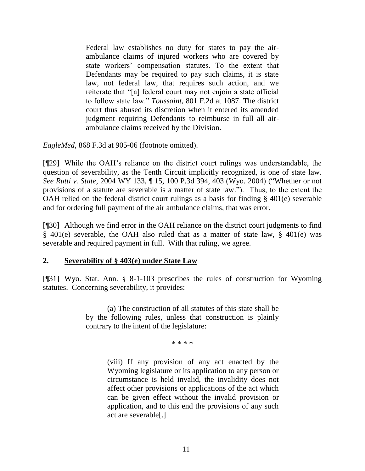Federal law establishes no duty for states to pay the airambulance claims of injured workers who are covered by state workers' compensation statutes. To the extent that Defendants may be required to pay such claims, it is state law, not federal law, that requires such action, and we reiterate that "[a] federal court may not enjoin a state official to follow state law." *Toussaint*[, 801 F.2d at 1087.](http://www.westlaw.com/Link/Document/FullText?findType=Y&serNum=1986148615&pubNum=0000350&originatingDoc=I671afc20877311e79657885de1b1150a&refType=RP&fi=co_pp_sp_350_1087&originationContext=document&vr=3.0&rs=cblt1.0&transitionType=DocumentItem&contextData=(sc.UserEnteredCitation)#co_pp_sp_350_1087) The district court thus abused its discretion when it entered its amended judgment requiring Defendants to reimburse in full all airambulance claims received by the Division.

*EagleMed*, 868 F.3d at 905-06 (footnote omitted).

[¶29] While the OAH's reliance on the district court rulings was understandable, the question of severability, as the Tenth Circuit implicitly recognized, is one of state law. *See Rutti v. State*, 2004 WY 133, ¶ 15, 100 P.3d 394, 403 (Wyo. 2004) ("Whether or not provisions of a statute are severable is a matter of state law."). Thus, to the extent the OAH relied on the federal district court rulings as a basis for finding § 401(e) severable and for ordering full payment of the air ambulance claims, that was error.

[¶30] Although we find error in the OAH reliance on the district court judgments to find § 401(e) severable, the OAH also ruled that as a matter of state law, § 401(e) was severable and required payment in full. With that ruling, we agree.

### **2. Severability of § 403(e) under State Law**

[¶31] Wyo. Stat. Ann. § 8-1-103 prescribes the rules of construction for Wyoming statutes. Concerning severability, it provides:

> (a) The construction of all statutes of this state shall be by the following rules, unless that construction is plainly contrary to the intent of the legislature:

> > \* \* \* \*

(viii) If any provision of any act enacted by the Wyoming legislature or its application to any person or circumstance is held invalid, the invalidity does not affect other provisions or applications of the act which can be given effect without the invalid provision or application, and to this end the provisions of any such act are severable[.]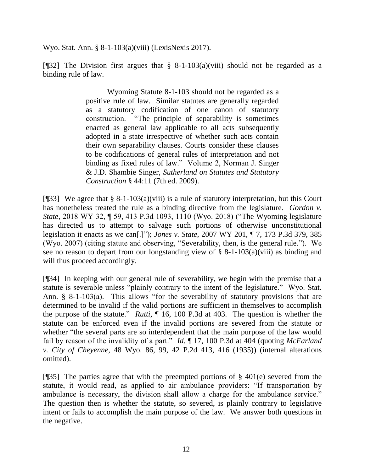Wyo. Stat. Ann. § 8-1-103(a)(viii) (LexisNexis 2017).

[¶32] The Division first argues that § 8-1-103(a)(viii) should not be regarded as a binding rule of law.

> Wyoming Statute 8-1-103 should not be regarded as a positive rule of law. Similar statutes are generally regarded as a statutory codification of one canon of statutory construction. "The principle of separability is sometimes enacted as general law applicable to all acts subsequently adopted in a state irrespective of whether such acts contain their own separability clauses. Courts consider these clauses to be codifications of general rules of interpretation and not binding as fixed rules of law." Volume 2, Norman J. Singer & J.D. Shambie Singer, *Sutherland on Statutes and Statutory Construction* § 44:11 (7th ed. 2009).

[ $[$ ]33] We agree that § 8-1-103(a)(viii) is a rule of statutory interpretation, but this Court has nonetheless treated the rule as a binding directive from the legislature. *Gordon v. State*, 2018 WY 32, ¶ 59, 413 P.3d 1093, 1110 (Wyo. 2018) ("The Wyoming legislature has directed us to attempt to salvage such portions of otherwise unconstitutional legislation it enacts as we can[.]"); *Jones v. State*, 2007 WY 201, ¶ 7, 173 P.3d 379, 385 (Wyo. 2007) (citing statute and observing, "Severability, then, is the general rule."). We see no reason to depart from our longstanding view of § 8-1-103(a)(viii) as binding and will thus proceed accordingly.

[¶34] In keeping with our general rule of severability, we begin with the premise that a statute is severable unless "plainly contrary to the intent of the legislature." Wyo. Stat. Ann. § 8-1-103(a). This allows "for the severability of statutory provisions that are determined to be invalid if the valid portions are sufficient in themselves to accomplish the purpose of the statute." *Rutti*, ¶ 16, 100 P.3d at 403. The question is whether the statute can be enforced even if the invalid portions are severed from the statute or whether "the several parts are so interdependent that the main purpose of the law would fail by reason of the invalidity of a part." *Id*. ¶ 17, 100 P.3d at 404 (quoting *[McFarland](http://www.westlaw.com/Link/Document/FullText?findType=Y&serNum=1935104274&pubNum=661&originatingDoc=Id24cee0cad9d11dcb6a3a099756c05b7&refType=RP&fi=co_pp_sp_661_416&originationContext=document&vr=3.0&rs=cblt1.0&transitionType=DocumentItem&contextData=(sc.Search)#co_pp_sp_661_416)  v. City of Cheyenne*, [48 Wyo. 86, 99, 42 P.2d 413, 416 \(1935\)\)](http://www.westlaw.com/Link/Document/FullText?findType=Y&serNum=1935104274&pubNum=661&originatingDoc=Id24cee0cad9d11dcb6a3a099756c05b7&refType=RP&fi=co_pp_sp_661_416&originationContext=document&vr=3.0&rs=cblt1.0&transitionType=DocumentItem&contextData=(sc.Search)#co_pp_sp_661_416) (internal alterations omitted).

[ $[$ ][35] The parties agree that with the preempted portions of § 401(e) severed from the statute, it would read, as applied to air ambulance providers: "If transportation by ambulance is necessary, the division shall allow a charge for the ambulance service." The question then is whether the statute, so severed, is plainly contrary to legislative intent or fails to accomplish the main purpose of the law. We answer both questions in the negative.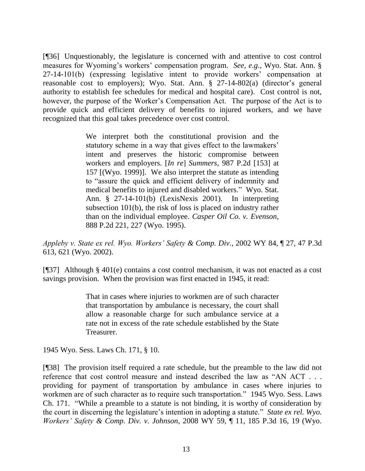[¶36] Unquestionably, the legislature is concerned with and attentive to cost control measures for Wyoming's workers' compensation program. *See, e.g.*, Wyo. Stat. Ann. § 27-14-101(b) (expressing legislative intent to provide workers' compensation at reasonable cost to employers); Wyo. Stat. Ann. § 27-14-802(a) (director's general authority to establish fee schedules for medical and hospital care). Cost control is not, however, the purpose of the Worker's Compensation Act. The purpose of the Act is to provide quick and efficient delivery of benefits to injured workers, and we have recognized that this goal takes precedence over cost control.

> We interpret both the constitutional provision and the statutory scheme in a way that gives effect to the lawmakers' intent and preserves the historic compromise between workers and employers. [*In re*] *Summers*[, 987 P.2d \[153\] at](http://www.westlaw.com/Link/Document/FullText?findType=Y&serNum=1999196264&pubNum=661&originatingDoc=Ibe771b6af53c11d9bf60c1d57ebc853e&refType=RP&fi=co_pp_sp_661_157&originationContext=document&vr=3.0&rs=cblt1.0&transitionType=DocumentItem&contextData=(sc.UserEnteredCitation)#co_pp_sp_661_157)  157 [\[\(Wyo. 1999\)\].](http://www.westlaw.com/Link/Document/FullText?findType=Y&serNum=1999196264&pubNum=661&originatingDoc=Ibe771b6af53c11d9bf60c1d57ebc853e&refType=RP&fi=co_pp_sp_661_157&originationContext=document&vr=3.0&rs=cblt1.0&transitionType=DocumentItem&contextData=(sc.UserEnteredCitation)#co_pp_sp_661_157) We also interpret the statute as intending to "assure the quick and efficient delivery of indemnity and medical benefits to injured and disabled workers." [Wyo. Stat.](http://www.westlaw.com/Link/Document/FullText?findType=L&pubNum=1000377&cite=WYSTS27-14-101&originatingDoc=Ibe771b6af53c11d9bf60c1d57ebc853e&refType=SP&originationContext=document&vr=3.0&rs=cblt1.0&transitionType=DocumentItem&contextData=(sc.UserEnteredCitation)#co_pp_a83b000018c76)  [Ann. § 27-14-101\(b\)](http://www.westlaw.com/Link/Document/FullText?findType=L&pubNum=1000377&cite=WYSTS27-14-101&originatingDoc=Ibe771b6af53c11d9bf60c1d57ebc853e&refType=SP&originationContext=document&vr=3.0&rs=cblt1.0&transitionType=DocumentItem&contextData=(sc.UserEnteredCitation)#co_pp_a83b000018c76) (LexisNexis 2001). In interpreting subsection 101(b), the risk of loss is placed on industry rather than on the individual employee. *[Casper Oil Co. v. Evenson](http://www.westlaw.com/Link/Document/FullText?findType=Y&serNum=1995027335&pubNum=661&originatingDoc=Ibe771b6af53c11d9bf60c1d57ebc853e&refType=RP&fi=co_pp_sp_661_227&originationContext=document&vr=3.0&rs=cblt1.0&transitionType=DocumentItem&contextData=(sc.UserEnteredCitation)#co_pp_sp_661_227)*, [888 P.2d 221, 227 \(Wyo.](http://www.westlaw.com/Link/Document/FullText?findType=Y&serNum=1995027335&pubNum=661&originatingDoc=Ibe771b6af53c11d9bf60c1d57ebc853e&refType=RP&fi=co_pp_sp_661_227&originationContext=document&vr=3.0&rs=cblt1.0&transitionType=DocumentItem&contextData=(sc.UserEnteredCitation)#co_pp_sp_661_227) 1995).

*Appleby v. State ex rel. Wyo. Workers' Safety & Comp. Div.*, 2002 WY 84, ¶ 27, 47 P.3d 613, 621 (Wyo. 2002).

[¶37] Although § 401(e) contains a cost control mechanism, it was not enacted as a cost savings provision. When the provision was first enacted in 1945, it read:

> That in cases where injuries to workmen are of such character that transportation by ambulance is necessary, the court shall allow a reasonable charge for such ambulance service at a rate not in excess of the rate schedule established by the State Treasurer.

1945 Wyo. Sess. Laws Ch. 171, § 10.

[¶38] The provision itself required a rate schedule, but the preamble to the law did not reference that cost control measure and instead described the law as "AN ACT . . . providing for payment of transportation by ambulance in cases where injuries to workmen are of such character as to require such transportation." 1945 Wyo. Sess. Laws Ch. 171. "While a preamble to a statute is not binding, it is worthy of consideration by the court in discerning the legislature's intention in adopting a statute." *State ex rel. Wyo. Workers' Safety & Comp. Div. v. Johnson*, 2008 WY 59, ¶ 11, 185 P.3d 16, 19 (Wyo.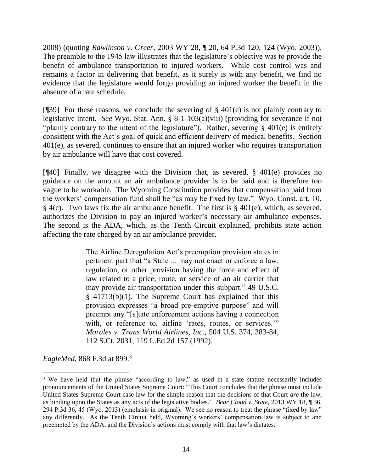2008) (quoting *Rawlinson v. Greer*[, 2003 WY 28, ¶ 20, 64 P.3d 120, 124 \(Wyo.](http://www.westlaw.com/Link/Document/FullText?findType=Y&serNum=2003185480&pubNum=0004645&originatingDoc=Ic976ed5d30d311ddb7e483ba170699a5&refType=RP&fi=co_pp_sp_4645_124&originationContext=document&vr=3.0&rs=cblt1.0&transitionType=DocumentItem&contextData=(sc.Keycite)#co_pp_sp_4645_124) 2003)). The preamble to the 1945 law illustrates that the legislature's objective was to provide the benefit of ambulance transportation to injured workers. While cost control was and remains a factor in delivering that benefit, as it surely is with any benefit, we find no evidence that the legislature would forgo providing an injured worker the benefit in the absence of a rate schedule.

[ $[$ ][39] For these reasons, we conclude the severing of § 401(e) is not plainly contrary to legislative intent. *See* Wyo. Stat. Ann. § 8-1-103(a)(viii) (providing for severance if not "plainly contrary to the intent of the legislature"). Rather, severing § 401(e) is entirely consistent with the Act's goal of quick and efficient delivery of medical benefits. Section 401(e), as severed, continues to ensure that an injured worker who requires transportation by air ambulance will have that cost covered.

[ $[$ 40] Finally, we disagree with the Division that, as severed, § 401(e) provides no guidance on the amount an air ambulance provider is to be paid and is therefore too vague to be workable. The Wyoming Constitution provides that compensation paid from the workers' compensation fund shall be "as may be fixed by law." Wyo. Const. art. 10, § 4(c). Two laws fix the air ambulance benefit. The first is § 401(e), which, as severed, authorizes the Division to pay an injured worker's necessary air ambulance expenses. The second is the ADA, which, as the Tenth Circuit explained, prohibits state action affecting the rate charged by an air ambulance provider.

> The Airline Deregulation Act's preemption provision states in pertinent part that "a State ... may not enact or enforce a law, regulation, or other provision having the force and effect of law related to a price, route, or service of an air carrier that may provide air transportation under this subpart." [49 U.S.C.](http://www.westlaw.com/Link/Document/FullText?findType=L&pubNum=1000546&cite=49USCAS41713&originatingDoc=I671afc20877311e79657885de1b1150a&refType=RB&originationContext=document&vr=3.0&rs=cblt1.0&transitionType=DocumentItem&contextData=(sc.UserEnteredCitation)#co_pp_3fed000053a85)  [§ 41713\(b\)\(1\).](http://www.westlaw.com/Link/Document/FullText?findType=L&pubNum=1000546&cite=49USCAS41713&originatingDoc=I671afc20877311e79657885de1b1150a&refType=RB&originationContext=document&vr=3.0&rs=cblt1.0&transitionType=DocumentItem&contextData=(sc.UserEnteredCitation)#co_pp_3fed000053a85) The Supreme Court has explained that this provision expresses "a broad pre-emptive purpose" and will preempt any "[s]tate enforcement actions having a connection with, or reference to, airline 'rates, routes, or services.'" *[Morales v. Trans World Airlines, Inc.](http://www.westlaw.com/Link/Document/FullText?findType=Y&serNum=1992098589&pubNum=0000708&originatingDoc=I671afc20877311e79657885de1b1150a&refType=RP&originationContext=document&vr=3.0&rs=cblt1.0&transitionType=DocumentItem&contextData=(sc.UserEnteredCitation))*, 504 U.S. 374, 383-84, [112 S.Ct. 2031, 119 L.Ed.2d 157 \(1992\).](http://www.westlaw.com/Link/Document/FullText?findType=Y&serNum=1992098589&pubNum=0000708&originatingDoc=I671afc20877311e79657885de1b1150a&refType=RP&originationContext=document&vr=3.0&rs=cblt1.0&transitionType=DocumentItem&contextData=(sc.UserEnteredCitation))

*EagleMed*, 868 F.3d at 899.<sup>3</sup>

 $\overline{a}$ 

<sup>&</sup>lt;sup>3</sup> We have held that the phrase "according to law," as used in a state statute necessarily includes pronouncements of the United States Supreme Court: "This Court concludes that the phrase must include United States Supreme Court case law for the simple reason that the decisions of that Court *are* the law, as binding upon the States as any acts of the legislative bodies." *Bear Cloud v. State*, 2013 WY 18, ¶ 36, 294 P.3d 36, 45 (Wyo. 2013) (emphasis in original). We see no reason to treat the phrase "fixed by law" any differently. As the Tenth Circuit held, Wyoming's workers' compensation law is subject to and preempted by the ADA, and the Division's actions must comply with that law's dictates.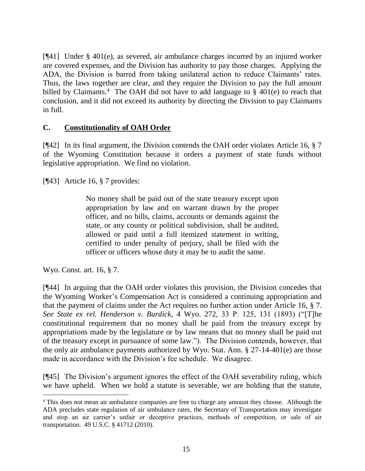[¶41] Under § 401(e), as severed, air ambulance charges incurred by an injured worker are covered expenses, and the Division has authority to pay those charges. Applying the ADA, the Division is barred from taking unilateral action to reduce Claimants' rates. Thus, the laws together are clear, and they require the Division to pay the full amount billed by Claimants.<sup>4</sup> The OAH did not have to add language to  $\S$  401(e) to reach that conclusion, and it did not exceed its authority by directing the Division to pay Claimants in full.

### **C. Constitutionality of OAH Order**

[¶42] In its final argument, the Division contends the OAH order violates Article 16, § 7 of the Wyoming Constitution because it orders a payment of state funds without legislative appropriation. We find no violation.

[¶43] Article 16, § 7 provides:

No money shall be paid out of the state treasury except upon appropriation by law and on warrant drawn by the proper officer, and no bills, claims, accounts or demands against the state, or any county or political subdivision, shall be audited, allowed or paid until a full itemized statement in writing, certified to under penalty of perjury, shall be filed with the officer or officers whose duty it may be to audit the same.

Wyo. Const. art. 16, § 7.

[¶44] In arguing that the OAH order violates this provision, the Division concedes that the Wyoming Worker's Compensation Act is considered a continuing appropriation and that the payment of claims under the Act requires no further action under Article 16, § 7. *See State ex rel. Henderson v. Burdick*, 4 Wyo. 272, 33 P. 125, 131 (1893) ("[T]he constitutional requirement that no money shall be paid from the treasury except by appropriations made by the legislature or by law means that no money shall be paid out of the treasury except in pursuance of some law."). The Division contends, however, that the only air ambulance payments authorized by Wyo. Stat. Ann. § 27-14-401(e) are those made in accordance with the Division's fee schedule. We disagree.

[¶45] The Division's argument ignores the effect of the OAH severability ruling, which we have upheld. When we hold a statute is severable, we are holding that the statute,

<sup>4</sup> This does not mean air ambulance companies are free to charge any amount they choose. Although the ADA precludes state regulation of air ambulance rates, the Secretary of Transportation may investigate and stop an air carrier's unfair or deceptive practices, methods of competition, or sale of air transportation. 49 U.S.C. § 41712 (2010).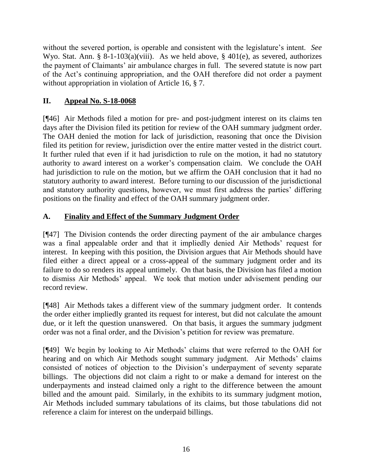without the severed portion, is operable and consistent with the legislature's intent. *See* Wyo. Stat. Ann. § 8-1-103(a)(viii). As we held above, § 401(e), as severed, authorizes the payment of Claimants' air ambulance charges in full. The severed statute is now part of the Act's continuing appropriation, and the OAH therefore did not order a payment without appropriation in violation of Article 16, § 7.

# **II. Appeal No. S-18-0068**

[¶46] Air Methods filed a motion for pre- and post-judgment interest on its claims ten days after the Division filed its petition for review of the OAH summary judgment order. The OAH denied the motion for lack of jurisdiction, reasoning that once the Division filed its petition for review, jurisdiction over the entire matter vested in the district court. It further ruled that even if it had jurisdiction to rule on the motion, it had no statutory authority to award interest on a worker's compensation claim. We conclude the OAH had jurisdiction to rule on the motion, but we affirm the OAH conclusion that it had no statutory authority to award interest. Before turning to our discussion of the jurisdictional and statutory authority questions, however, we must first address the parties' differing positions on the finality and effect of the OAH summary judgment order.

## **A. Finality and Effect of the Summary Judgment Order**

[¶47] The Division contends the order directing payment of the air ambulance charges was a final appealable order and that it impliedly denied Air Methods' request for interest. In keeping with this position, the Division argues that Air Methods should have filed either a direct appeal or a cross-appeal of the summary judgment order and its failure to do so renders its appeal untimely. On that basis, the Division has filed a motion to dismiss Air Methods' appeal. We took that motion under advisement pending our record review.

[¶48] Air Methods takes a different view of the summary judgment order. It contends the order either impliedly granted its request for interest, but did not calculate the amount due, or it left the question unanswered. On that basis, it argues the summary judgment order was not a final order, and the Division's petition for review was premature.

[¶49] We begin by looking to Air Methods' claims that were referred to the OAH for hearing and on which Air Methods sought summary judgment. Air Methods' claims consisted of notices of objection to the Division's underpayment of seventy separate billings. The objections did not claim a right to or make a demand for interest on the underpayments and instead claimed only a right to the difference between the amount billed and the amount paid. Similarly, in the exhibits to its summary judgment motion, Air Methods included summary tabulations of its claims, but those tabulations did not reference a claim for interest on the underpaid billings.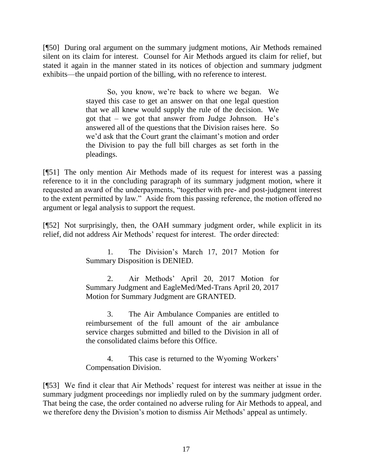[¶50] During oral argument on the summary judgment motions, Air Methods remained silent on its claim for interest. Counsel for Air Methods argued its claim for relief, but stated it again in the manner stated in its notices of objection and summary judgment exhibits—the unpaid portion of the billing, with no reference to interest.

> So, you know, we're back to where we began. We stayed this case to get an answer on that one legal question that we all knew would supply the rule of the decision. We got that – we got that answer from Judge Johnson. He's answered all of the questions that the Division raises here. So we'd ask that the Court grant the claimant's motion and order the Division to pay the full bill charges as set forth in the pleadings.

[¶51] The only mention Air Methods made of its request for interest was a passing reference to it in the concluding paragraph of its summary judgment motion, where it requested an award of the underpayments, "together with pre- and post-judgment interest to the extent permitted by law." Aside from this passing reference, the motion offered no argument or legal analysis to support the request.

[¶52] Not surprisingly, then, the OAH summary judgment order, while explicit in its relief, did not address Air Methods' request for interest. The order directed:

> 1. The Division's March 17, 2017 Motion for Summary Disposition is DENIED.

> 2. Air Methods' April 20, 2017 Motion for Summary Judgment and EagleMed/Med-Trans April 20, 2017 Motion for Summary Judgment are GRANTED.

> 3. The Air Ambulance Companies are entitled to reimbursement of the full amount of the air ambulance service charges submitted and billed to the Division in all of the consolidated claims before this Office.

> 4. This case is returned to the Wyoming Workers' Compensation Division.

[¶53] We find it clear that Air Methods' request for interest was neither at issue in the summary judgment proceedings nor impliedly ruled on by the summary judgment order. That being the case, the order contained no adverse ruling for Air Methods to appeal, and we therefore deny the Division's motion to dismiss Air Methods' appeal as untimely.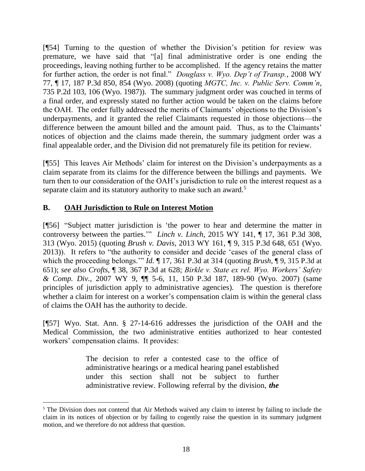[¶54] Turning to the question of whether the Division's petition for review was premature, we have said that "[a] final administrative order is one ending the proceedings, leaving nothing further to be accomplished. If the agency retains the matter for further action, the order is not final." *Douglass v. Wyo. Dep't of Transp.*, 2008 WY 77, ¶ 17, 187 P.3d 850, 854 (Wyo. 2008) (quoting *[MGTC, Inc. v. Public Serv. Comm'n](http://www.westlaw.com/Link/Document/FullText?findType=Y&serNum=1987042973&pubNum=0000661&originatingDoc=Ideb4b5394dbf11ddb5cbad29a280d47c&refType=RP&fi=co_pp_sp_661_106&originationContext=document&vr=3.0&rs=cblt1.0&transitionType=DocumentItem&contextData=(sc.Keycite)#co_pp_sp_661_106)*, [735 P.2d 103, 106 \(Wyo.](http://www.westlaw.com/Link/Document/FullText?findType=Y&serNum=1987042973&pubNum=0000661&originatingDoc=Ideb4b5394dbf11ddb5cbad29a280d47c&refType=RP&fi=co_pp_sp_661_106&originationContext=document&vr=3.0&rs=cblt1.0&transitionType=DocumentItem&contextData=(sc.Keycite)#co_pp_sp_661_106) 1987)). The summary judgment order was couched in terms of a final order, and expressly stated no further action would be taken on the claims before the OAH. The order fully addressed the merits of Claimants' objections to the Division's underpayments, and it granted the relief Claimants requested in those objections—the difference between the amount billed and the amount paid. Thus, as to the Claimants' notices of objection and the claims made therein, the summary judgment order was a final appealable order, and the Division did not prematurely file its petition for review.

[¶55] This leaves Air Methods' claim for interest on the Division's underpayments as a claim separate from its claims for the difference between the billings and payments. We turn then to our consideration of the OAH's jurisdiction to rule on the interest request as a separate claim and its statutory authority to make such an award.<sup>5</sup>

# **B. OAH Jurisdiction to Rule on Interest Motion**

[¶56] "Subject matter jurisdiction is 'the power to hear and determine the matter in controversy between the parties.'" *Linch v. Linch*, 2015 WY 141, ¶ 17, 361 P.3d 308, 313 (Wyo. 2015) (quoting *Brush v. Davis*, 2013 WY 161, ¶ 9, 315 P.3d 648, 651 (Wyo. 2013)). It refers to "the authority to consider and decide 'cases of the general class of which the proceeding belongs.'" *Id.* ¶ 17, 361 P.3d at 314 (quoting *Brush*, ¶ 9, 315 P.3d at 651); *see also Crofts*, ¶ 38, 367 P.3d at 628; *[Birkle v. State ex rel. Wyo. Workers' Safety](http://www.westlaw.com/Link/Document/FullText?findType=Y&serNum=2011210581&pubNum=0004645&originatingDoc=I485baa46b69f11e590d4edf60ce7d742&refType=RP&fi=co_pp_sp_4645_189&originationContext=document&vr=3.0&rs=cblt1.0&transitionType=DocumentItem&contextData=(sc.Search)#co_pp_sp_4645_189)  & Comp. Div.*[, 2007 WY 9, ¶¶ 5-6, 11, 150 P.3d 187, 189-90 \(Wyo.](http://www.westlaw.com/Link/Document/FullText?findType=Y&serNum=2011210581&pubNum=0004645&originatingDoc=I485baa46b69f11e590d4edf60ce7d742&refType=RP&fi=co_pp_sp_4645_189&originationContext=document&vr=3.0&rs=cblt1.0&transitionType=DocumentItem&contextData=(sc.Search)#co_pp_sp_4645_189) 2007) (same principles of jurisdiction apply to administrative agencies). The question is therefore whether a claim for interest on a worker's compensation claim is within the general class of claims the OAH has the authority to decide.

[¶57] Wyo. Stat. Ann. § 27-14-616 addresses the jurisdiction of the OAH and the Medical Commission, the two administrative entities authorized to hear contested workers' compensation claims. It provides:

> The decision to refer a contested case to the office of administrative hearings or a medical hearing panel established under this section shall not be subject to further administrative review. Following referral by the division, *the*

<sup>5</sup> The Division does not contend that Air Methods waived any claim to interest by failing to include the claim in its notices of objection or by failing to cogently raise the question in its summary judgment motion, and we therefore do not address that question.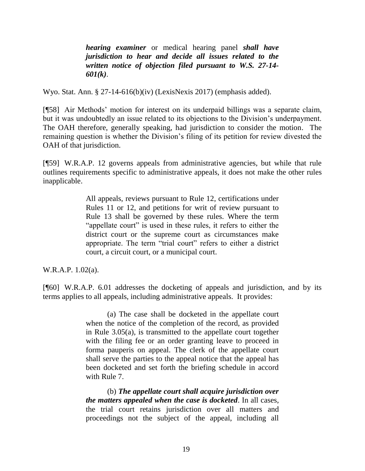*hearing examiner* or medical hearing panel *shall have jurisdiction to hear and decide all issues related to the written notice of objection filed pursuant to [W.S. 27-14-](http://www.westlaw.com/Link/Document/FullText?findType=L&pubNum=1000377&cite=WYSTS27-14-601&originatingDoc=N0BD8ACE014D211DDA95A8E9A1A243DA5&refType=SP&originationContext=document&vr=3.0&rs=cblt1.0&transitionType=DocumentItem&contextData=(sc.UserEnteredCitation)#co_pp_340a00009b6f3) [601\(k\)](http://www.westlaw.com/Link/Document/FullText?findType=L&pubNum=1000377&cite=WYSTS27-14-601&originatingDoc=N0BD8ACE014D211DDA95A8E9A1A243DA5&refType=SP&originationContext=document&vr=3.0&rs=cblt1.0&transitionType=DocumentItem&contextData=(sc.UserEnteredCitation)#co_pp_340a00009b6f3)*.

Wyo. Stat. Ann. § 27-14-616(b)(iv) (LexisNexis 2017) (emphasis added).

[¶58] Air Methods' motion for interest on its underpaid billings was a separate claim, but it was undoubtedly an issue related to its objections to the Division's underpayment. The OAH therefore, generally speaking, had jurisdiction to consider the motion. The remaining question is whether the Division's filing of its petition for review divested the OAH of that jurisdiction.

[¶59] W.R.A.P. 12 governs appeals from administrative agencies, but while that rule outlines requirements specific to administrative appeals, it does not make the other rules inapplicable.

> All appeals, reviews pursuant to Rule 12, certifications under Rules 11 or 12, and petitions for writ of review pursuant to Rule 13 shall be governed by these rules. Where the term "appellate court" is used in these rules, it refers to either the district court or the supreme court as circumstances make appropriate. The term "trial court" refers to either a district court, a circuit court, or a municipal court.

W.R.A.P. 1.02(a).

[¶60] W.R.A.P. 6.01 addresses the docketing of appeals and jurisdiction, and by its terms applies to all appeals, including administrative appeals. It provides:

> (a) The case shall be docketed in the appellate court when the notice of the completion of the record, as provided in [Rule 3.05\(a\),](http://www.westlaw.com/Link/Document/FullText?findType=L&pubNum=1008793&cite=WYRRAPR3.05&originatingDoc=N523729201B6011DD91439915CDABBB1A&refType=LQ&originationContext=document&vr=3.0&rs=cblt1.0&transitionType=DocumentItem&contextData=(sc.Category)) is transmitted to the appellate court together with the filing fee or an order granting leave to proceed in forma pauperis on appeal. The clerk of the appellate court shall serve the parties to the appeal notice that the appeal has been docketed and set forth the briefing schedule in accord with Rule 7.

> (b) *The appellate court shall acquire jurisdiction over the matters appealed when the case is docketed*. In all cases, the trial court retains jurisdiction over all matters and proceedings not the subject of the appeal, including all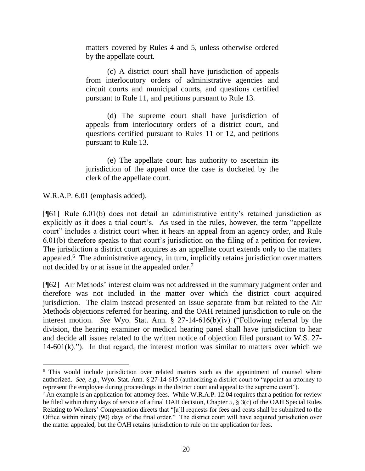matters covered by Rules 4 and 5, unless otherwise ordered by the appellate court.

(c) A district court shall have jurisdiction of appeals from interlocutory orders of administrative agencies and circuit courts and municipal courts, and questions certified pursuant to Rule 11, and petitions pursuant to Rule 13.

(d) The supreme court shall have jurisdiction of appeals from interlocutory orders of a district court, and questions certified pursuant to Rules 11 or 12, and petitions pursuant to Rule 13.

(e) The appellate court has authority to ascertain its jurisdiction of the appeal once the case is docketed by the clerk of the appellate court.

W.R.A.P. 6.01 (emphasis added).

[¶61] Rule 6.01(b) does not detail an administrative entity's retained jurisdiction as explicitly as it does a trial court's. As used in the rules, however, the term "appellate court" includes a district court when it hears an appeal from an agency order, and Rule 6.01(b) therefore speaks to that court's jurisdiction on the filing of a petition for review. The jurisdiction a district court acquires as an appellate court extends only to the matters appealed.<sup>6</sup> The administrative agency, in turn, implicitly retains jurisdiction over matters not decided by or at issue in the appealed order.<sup>7</sup>

[¶62] Air Methods' interest claim was not addressed in the summary judgment order and therefore was not included in the matter over which the district court acquired jurisdiction. The claim instead presented an issue separate from but related to the Air Methods objections referred for hearing, and the OAH retained jurisdiction to rule on the interest motion. *See* Wyo. Stat. Ann. § 27-14-616(b)(iv) ("Following referral by the division, the hearing examiner or medical hearing panel shall have jurisdiction to hear and decide all issues related to the written notice of objection filed pursuant to [W.S. 27-](http://www.westlaw.com/Link/Document/FullText?findType=L&pubNum=1000377&cite=WYSTS27-14-601&originatingDoc=N0BD8ACE014D211DDA95A8E9A1A243DA5&refType=SP&originationContext=document&vr=3.0&rs=cblt1.0&transitionType=DocumentItem&contextData=(sc.UserEnteredCitation)#co_pp_340a00009b6f3)  $14-601(k)$ ."). In that regard, the interest motion was similar to matters over which we

<sup>&</sup>lt;sup>6</sup> This would include jurisdiction over related matters such as the appointment of counsel where authorized. *See, e.g.*, Wyo. Stat. Ann. § 27-14-615 (authorizing a district court to "appoint an attorney to represent the employee during proceedings in the district court and appeal to the supreme court").

<sup>&</sup>lt;sup>7</sup> An example is an application for attorney fees. While W.R.A.P. 12.04 requires that a petition for review be filed within thirty days of service of a final OAH decision, Chapter 5, § 3(c) of the OAH Special Rules Relating to Workers' Compensation directs that "[a]ll requests for fees and costs shall be submitted to the Office within ninety (90) days of the final order." The district court will have acquired jurisdiction over the matter appealed, but the OAH retains jurisdiction to rule on the application for fees.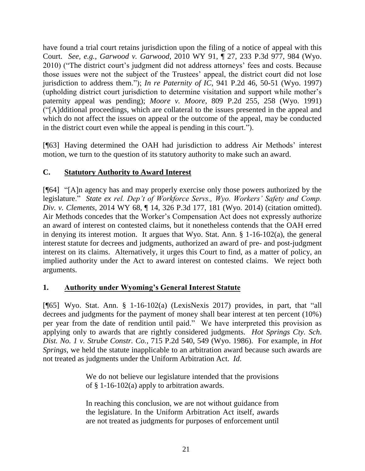have found a trial court retains jurisdiction upon the filing of a notice of appeal with this Court. *See, e.g.*, *Garwood v. Garwood*, 2010 WY 91, ¶ 27, 233 P.3d 977, 984 (Wyo. 2010) ("The district court's judgment did not address attorneys' fees and costs. Because those issues were not the subject of the Trustees' appeal, the district court did not lose jurisdiction to address them."); *In re Paternity of IC*, 941 P.2d 46, 50-51 (Wyo. 1997) (upholding district court jurisdiction to determine visitation and support while mother's paternity appeal was pending); *Moore v. Moore*, 809 P.2d 255, 258 (Wyo. 1991) ("[A]dditional proceedings, which are collateral to the issues presented in the appeal and which do not affect the issues on appeal or the outcome of the appeal, may be conducted in the district court even while the appeal is pending in this court.").

[¶63] Having determined the OAH had jurisdiction to address Air Methods' interest motion, we turn to the question of its statutory authority to make such an award.

# **C. Statutory Authority to Award Interest**

[¶64] "[A]n agency has and may properly exercise only those powers authorized by the legislature." *State ex rel. Dep't of Workforce Servs., Wyo. Workers' Safety and Comp. Div. v. Clements*, 2014 WY 68, ¶ 14, 326 P.3d 177, 181 (Wyo. 2014) (citation omitted). Air Methods concedes that the Worker's Compensation Act does not expressly authorize an award of interest on contested claims, but it nonetheless contends that the OAH erred in denying its interest motion. It argues that Wyo. Stat. Ann. § 1-16-102(a), the general interest statute for decrees and judgments, authorized an award of pre- and post-judgment interest on its claims. Alternatively, it urges this Court to find, as a matter of policy, an implied authority under the Act to award interest on contested claims. We reject both arguments.

## **1. Authority under Wyoming's General Interest Statute**

[ $[$ 65] Wyo. Stat. Ann. § 1-16-102(a) (LexisNexis 2017) provides, in part, that "all decrees and judgments for the payment of money shall bear interest at ten percent (10%) per year from the date of rendition until paid." We have interpreted this provision as applying only to awards that are rightly considered judgments. *Hot Springs Cty. Sch. Dist. No. 1 v. Strube Constr. Co.*, 715 P.2d 540, 549 (Wyo. 1986). For example, in *Hot Springs*, we held the statute inapplicable to an arbitration award because such awards are not treated as judgments under the Uniform Arbitration Act. *Id*.

> We do not believe our legislature intended that the provisions of [§ 1-16-102\(a\)](http://www.westlaw.com/Link/Document/FullText?findType=L&pubNum=1000377&cite=WYSTS1-16-102&originatingDoc=I99e8ba08f53811d9b386b232635db992&refType=SP&originationContext=document&vr=3.0&rs=cblt1.0&transitionType=DocumentItem&contextData=(sc.Default)#co_pp_8b3b0000958a4) apply to arbitration awards.

> In reaching this conclusion, we are not without guidance from the legislature. In the Uniform Arbitration Act itself, awards are not treated as judgments for purposes of enforcement until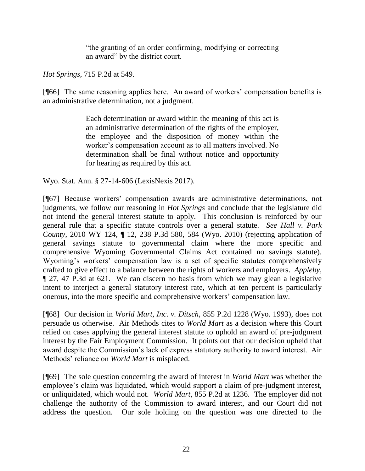"the granting of an order confirming, modifying or correcting an award" by the district court.

*Hot Springs*, 715 P.2d at 549.

[¶66] The same reasoning applies here. An award of workers' compensation benefits is an administrative determination, not a judgment.

> Each determination or award within the meaning of this act is an administrative determination of the rights of the employer, the employee and the disposition of money within the worker's compensation account as to all matters involved. No determination shall be final without notice and opportunity for hearing as required by this act.

Wyo. Stat. Ann. § 27-14-606 (LexisNexis 2017).

[¶67] Because workers' compensation awards are administrative determinations, not judgments, we follow our reasoning in *Hot Springs* and conclude that the legislature did not intend the general interest statute to apply. This conclusion is reinforced by our general rule that a specific statute controls over a general statute. *See Hall v. Park County*, 2010 WY 124, ¶ 12, 238 P.3d 580, 584 (Wyo. 2010) (rejecting application of general savings statute to governmental claim where the more specific and comprehensive Wyoming Governmental Claims Act contained no savings statute). Wyoming's workers' compensation law is a set of specific statutes comprehensively crafted to give effect to a balance between the rights of workers and employers. *Appleby*, ¶ 27, 47 P.3d at 621. We can discern no basis from which we may glean a legislative intent to interject a general statutory interest rate, which at ten percent is particularly onerous, into the more specific and comprehensive workers' compensation law.

[¶68] Our decision in *World Mart, Inc. v. Ditsch*, 855 P.2d 1228 (Wyo. 1993), does not persuade us otherwise. Air Methods cites to *World Mart* as a decision where this Court relied on cases applying the general interest statute to uphold an award of pre-judgment interest by the Fair Employment Commission. It points out that our decision upheld that award despite the Commission's lack of express statutory authority to award interest. Air Methods' reliance on *World Mart* is misplaced.

[¶69] The sole question concerning the award of interest in *World Mart* was whether the employee's claim was liquidated, which would support a claim of pre-judgment interest, or unliquidated, which would not. *World Mart*, 855 P.2d at 1236. The employer did not challenge the authority of the Commission to award interest, and our Court did not address the question. Our sole holding on the question was one directed to the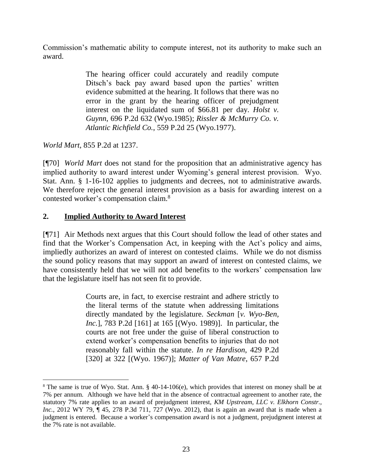Commission's mathematic ability to compute interest, not its authority to make such an award.

> The hearing officer could accurately and readily compute Ditsch's back pay award based upon the parties' written evidence submitted at the hearing. It follows that there was no error in the grant by the hearing officer of prejudgment interest on the liquidated sum of \$66.81 per day. *[Holst v.](http://www.westlaw.com/Link/Document/FullText?findType=Y&serNum=1985109076&pubNum=661&originatingDoc=Id12163fdf59c11d98ac8f235252e36df&refType=RP&originationContext=document&vr=3.0&rs=cblt1.0&transitionType=DocumentItem&contextData=(sc.Default))  Guynn*[, 696 P.2d 632 \(Wyo.1985\);](http://www.westlaw.com/Link/Document/FullText?findType=Y&serNum=1985109076&pubNum=661&originatingDoc=Id12163fdf59c11d98ac8f235252e36df&refType=RP&originationContext=document&vr=3.0&rs=cblt1.0&transitionType=DocumentItem&contextData=(sc.Default)) *[Rissler & McMurry Co. v.](http://www.westlaw.com/Link/Document/FullText?findType=Y&serNum=1977111144&pubNum=661&originatingDoc=Id12163fdf59c11d98ac8f235252e36df&refType=RP&originationContext=document&vr=3.0&rs=cblt1.0&transitionType=DocumentItem&contextData=(sc.Default))  Atlantic Richfield Co.*[, 559 P.2d 25 \(Wyo.1977\).](http://www.westlaw.com/Link/Document/FullText?findType=Y&serNum=1977111144&pubNum=661&originatingDoc=Id12163fdf59c11d98ac8f235252e36df&refType=RP&originationContext=document&vr=3.0&rs=cblt1.0&transitionType=DocumentItem&contextData=(sc.Default))

*World Mart*, 855 P.2d at 1237.

 $\overline{a}$ 

[¶70] *World Mart* does not stand for the proposition that an administrative agency has implied authority to award interest under Wyoming's general interest provision. Wyo. Stat. Ann. § 1-16-102 applies to judgments and decrees, not to administrative awards. We therefore reject the general interest provision as a basis for awarding interest on a contested worker's compensation claim.<sup>8</sup>

## **2. Implied Authority to Award Interest**

[¶71] Air Methods next argues that this Court should follow the lead of other states and find that the Worker's Compensation Act, in keeping with the Act's policy and aims, impliedly authorizes an award of interest on contested claims. While we do not dismiss the sound policy reasons that may support an award of interest on contested claims, we have consistently held that we will not add benefits to the workers' compensation law that the legislature itself has not seen fit to provide.

> Courts are, in fact, to exercise restraint and adhere strictly to the literal terms of the statute when addressing limitations directly mandated by the legislature. *Seckman* [*[v. Wyo-Ben,](http://www.westlaw.com/Link/Document/FullText?findType=Y&serNum=1989167483&pubNum=661&originatingDoc=If0f6c67df57a11d9b386b232635db992&refType=RP&fi=co_pp_sp_661_165&originationContext=document&vr=3.0&rs=cblt1.0&transitionType=DocumentItem&contextData=(sc.Keycite)#co_pp_sp_661_165)  Inc.*[\], 783 P.2d \[161\] at 165](http://www.westlaw.com/Link/Document/FullText?findType=Y&serNum=1989167483&pubNum=661&originatingDoc=If0f6c67df57a11d9b386b232635db992&refType=RP&fi=co_pp_sp_661_165&originationContext=document&vr=3.0&rs=cblt1.0&transitionType=DocumentItem&contextData=(sc.Keycite)#co_pp_sp_661_165) [(Wyo. 1989)]. In particular, the courts are not free under the guise of liberal construction to extend worker's compensation benefits to injuries that do not reasonably fall within the statute. *[In re Hardison](http://www.westlaw.com/Link/Document/FullText?findType=Y&serNum=1967127769&pubNum=661&originatingDoc=If0f6c67df57a11d9b386b232635db992&refType=RP&fi=co_pp_sp_661_322&originationContext=document&vr=3.0&rs=cblt1.0&transitionType=DocumentItem&contextData=(sc.Keycite)#co_pp_sp_661_322)*, 429 P.2d [320] at 322 [\[\(Wyo. 1967\)\];](http://www.westlaw.com/Link/Document/FullText?findType=Y&serNum=1967127769&pubNum=661&originatingDoc=If0f6c67df57a11d9b386b232635db992&refType=RP&fi=co_pp_sp_661_322&originationContext=document&vr=3.0&rs=cblt1.0&transitionType=DocumentItem&contextData=(sc.Keycite)#co_pp_sp_661_322) *[Matter of Van Matre](http://www.westlaw.com/Link/Document/FullText?findType=Y&serNum=1983106451&pubNum=661&originatingDoc=If0f6c67df57a11d9b386b232635db992&refType=RP&fi=co_pp_sp_661_818&originationContext=document&vr=3.0&rs=cblt1.0&transitionType=DocumentItem&contextData=(sc.Keycite)#co_pp_sp_661_818)*, 657 P.2d

<sup>8</sup> The same is true of Wyo. Stat. Ann. § 40-14-106(e), which provides that interest on money shall be at 7% per annum. Although we have held that in the absence of contractual agreement to another rate, the statutory 7% rate applies to an award of prejudgment interest, *KM Upstream, LLC v. Elkhorn Constr., Inc.*, 2012 WY 79,  $\P$  45, 278 P.3d 711, 727 (Wyo. 2012), that is again an award that is made when a judgment is entered. Because a worker's compensation award is not a judgment, prejudgment interest at the 7% rate is not available.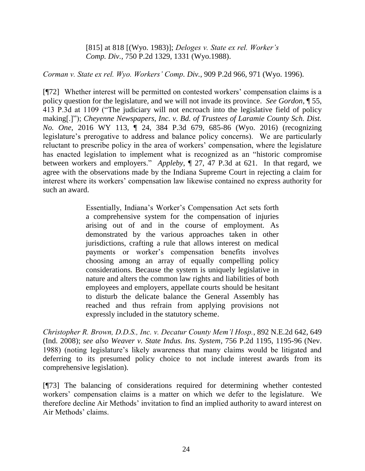[815] at 818 [\[\(Wyo. 1983\)\];](http://www.westlaw.com/Link/Document/FullText?findType=Y&serNum=1983106451&pubNum=661&originatingDoc=If0f6c67df57a11d9b386b232635db992&refType=RP&fi=co_pp_sp_661_818&originationContext=document&vr=3.0&rs=cblt1.0&transitionType=DocumentItem&contextData=(sc.Keycite)#co_pp_sp_661_818) *[Deloges v. State ex rel. Worker's](http://www.westlaw.com/Link/Document/FullText?findType=Y&serNum=1988035575&pubNum=661&originatingDoc=If0f6c67df57a11d9b386b232635db992&refType=RP&fi=co_pp_sp_661_1331&originationContext=document&vr=3.0&rs=cblt1.0&transitionType=DocumentItem&contextData=(sc.Keycite)#co_pp_sp_661_1331)  Comp. Div.*[, 750 P.2d 1329, 1331 \(Wyo.1988\).](http://www.westlaw.com/Link/Document/FullText?findType=Y&serNum=1988035575&pubNum=661&originatingDoc=If0f6c67df57a11d9b386b232635db992&refType=RP&fi=co_pp_sp_661_1331&originationContext=document&vr=3.0&rs=cblt1.0&transitionType=DocumentItem&contextData=(sc.Keycite)#co_pp_sp_661_1331)

*Corman v. State ex rel. Wyo. Workers' Comp. Div.*, 909 P.2d 966, 971 (Wyo. 1996).

[¶72] Whether interest will be permitted on contested workers' compensation claims is a policy question for the legislature, and we will not invade its province. *See Gordon*, ¶ 55, 413 P.3d at 1109 ("The judiciary will not encroach into the legislative field of policy making[.]"); *Cheyenne Newspapers, Inc. v. Bd. of Trustees of Laramie County Sch. Dist. No. One*, 2016 WY 113, ¶ 24, 384 P.3d 679, 685-86 (Wyo. 2016) (recognizing legislature's prerogative to address and balance policy concerns). We are particularly reluctant to prescribe policy in the area of workers' compensation, where the legislature has enacted legislation to implement what is recognized as an "historic compromise between workers and employers." *Appleby*, ¶ 27, 47 P.3d at 621. In that regard, we agree with the observations made by the Indiana Supreme Court in rejecting a claim for interest where its workers' compensation law likewise contained no express authority for such an award.

> Essentially, Indiana's Worker's Compensation Act sets forth a comprehensive system for the compensation of injuries arising out of and in the course of employment. As demonstrated by the various approaches taken in other jurisdictions, crafting a rule that allows interest on medical payments or worker's compensation benefits involves choosing among an array of equally compelling policy considerations. Because the system is uniquely legislative in nature and alters the common law rights and liabilities of both employees and employers, appellate courts should be hesitant to disturb the delicate balance the General Assembly has reached and thus refrain from applying provisions not expressly included in the statutory scheme.

*Christopher R. Brown, D.D.S., Inc. v. Decatur County Mem'l Hosp.*, 892 N.E.2d 642, 649 (Ind. 2008); *see also Weaver v. State Indus. Ins. System*, 756 P.2d 1195, 1195-96 (Nev. 1988) (noting legislature's likely awareness that many claims would be litigated and deferring to its presumed policy choice to not include interest awards from its comprehensive legislation).

[¶73] The balancing of considerations required for determining whether contested workers' compensation claims is a matter on which we defer to the legislature. We therefore decline Air Methods' invitation to find an implied authority to award interest on Air Methods' claims.